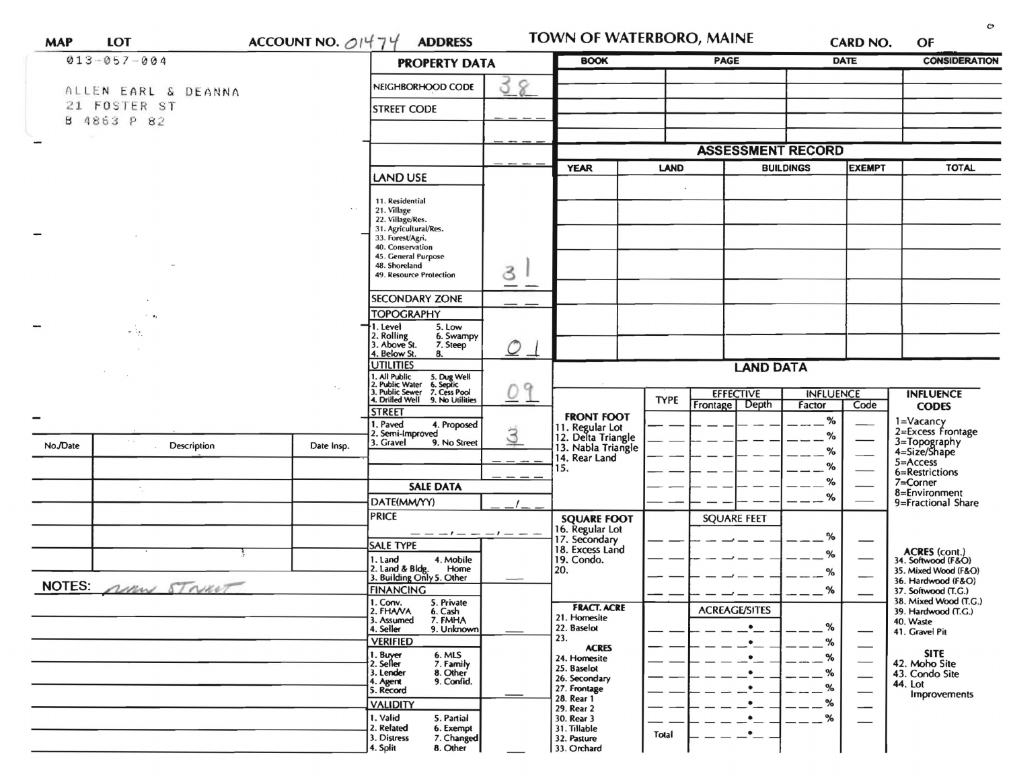| $013 - 057 - 004$       | <b>PROPERTY DATA</b>                                                                                   | <b>BOOK</b>                                               | <b>PAGE</b> |                                                             |                          | <b>DATE</b>                       | <b>CONSIDERATION</b> |                     |                                              |
|-------------------------|--------------------------------------------------------------------------------------------------------|-----------------------------------------------------------|-------------|-------------------------------------------------------------|--------------------------|-----------------------------------|----------------------|---------------------|----------------------------------------------|
| ALLEN EARL & DEANNA     |                                                                                                        | NEIGHBORHOOD CODE                                         | ర<br>8      |                                                             |                          |                                   |                      |                     |                                              |
| 21 FOSTER ST            |                                                                                                        | <b>STREET CODE</b>                                        |             |                                                             |                          |                                   |                      |                     |                                              |
| B 4863 P 82             |                                                                                                        |                                                           |             |                                                             |                          |                                   |                      |                     |                                              |
|                         |                                                                                                        |                                                           |             |                                                             |                          |                                   |                      |                     |                                              |
|                         |                                                                                                        |                                                           |             |                                                             | <b>ASSESSMENT RECORD</b> |                                   |                      |                     |                                              |
|                         | <b>LAND USE</b>                                                                                        |                                                           | <b>YEAR</b> | <b>LAND</b>                                                 |                          | <b>BUILDINGS</b><br><b>EXEMPT</b> |                      | <b>TOTAL</b>        |                                              |
|                         |                                                                                                        |                                                           |             |                                                             |                          |                                   |                      |                     |                                              |
|                         | $\mathcal{L}_{\mathcal{L}}$                                                                            | 11. Residential<br>21. Village                            |             |                                                             |                          |                                   |                      |                     |                                              |
|                         |                                                                                                        | 22. Village/Res.<br>31. Agricultural/Res.                 |             |                                                             |                          |                                   |                      |                     |                                              |
|                         |                                                                                                        | 33. Forest/Agri.                                          |             |                                                             |                          |                                   |                      |                     |                                              |
|                         |                                                                                                        | 40. Conservation<br>45. General Purpose                   |             |                                                             |                          |                                   |                      |                     |                                              |
|                         |                                                                                                        | 48. Shoreland<br>49. Resource Protection                  | 3           |                                                             |                          |                                   |                      |                     |                                              |
|                         |                                                                                                        |                                                           |             |                                                             |                          |                                   |                      |                     |                                              |
|                         |                                                                                                        | <b>SECONDARY ZONE</b>                                     |             |                                                             |                          |                                   |                      |                     |                                              |
|                         |                                                                                                        | <b>TOPOGRAPHY</b><br>1. Level<br>5. Low                   |             |                                                             |                          |                                   |                      |                     |                                              |
| e ie                    |                                                                                                        | 2. Rolling<br>6. Swampy<br>3. Above St.<br>7. Steep       |             |                                                             |                          |                                   |                      |                     |                                              |
|                         | 4. Below St.<br>8.<br><b>UTILITIES</b>                                                                 | $\mathcal{O}$                                             |             |                                                             |                          |                                   |                      |                     |                                              |
|                         | 1. All Public<br>2. Public Water                                                                       |                                                           |             | <b>LAND DATA</b>                                            |                          |                                   |                      |                     |                                              |
|                         | 5. Dug Well<br>6. Septic<br>7. Cess Pool<br>9. No Utilities<br>Q<br>3. Public Sewer<br>4. Drilled Well |                                                           |             | <b>EFFECTIVE</b>                                            |                          | <b>INFLUENCE</b>                  |                      | <b>INFLUENCE</b>    |                                              |
|                         | <b>STREET</b>                                                                                          |                                                           |             | <b>TYPE</b>                                                 | Frontage   Depth         | Factor                            | Code                 | <b>CODES</b>        |                                              |
|                         |                                                                                                        | 1. Paved<br>4. Proposed                                   |             | <b>FRONT FOOT</b>                                           |                          |                                   | %                    |                     | 1=Vacancy<br>2=Excess Frontage               |
| No./Date<br>Description | Date Insp.                                                                                             | 2. Semi-Improved<br>3. Gravel<br>9. No Street             | 3           | 11. Regular Lot<br>12. Delta Triangle<br>13. Nabla Triangle |                          |                                   | $\%$                 |                     | 3=Topography<br>4=Size/Shape                 |
|                         |                                                                                                        |                                                           |             | 14. Rear Land                                               |                          |                                   | %                    |                     | $5 =$ Access                                 |
|                         |                                                                                                        |                                                           |             | 15.                                                         |                          |                                   | %<br>%               |                     | 6=Restrictions                               |
|                         |                                                                                                        | <b>SALE DATA</b>                                          |             |                                                             |                          | %                                 |                      |                     | 7=Corner<br>8=Environment                    |
|                         |                                                                                                        | DATE(MM/YY)                                               |             | <b>SQUARE FOOT</b>                                          |                          |                                   |                      |                     | 9=Fractional Share                           |
|                         |                                                                                                        | <b>PRICE</b>                                              |             |                                                             |                          | <b>SQUARE FEET</b>                |                      |                     |                                              |
|                         |                                                                                                        | <b>SALE TYPE</b>                                          |             | 16. Regular Lot<br>17. Secondary<br>18. Excess Land         |                          |                                   | %                    |                     |                                              |
|                         |                                                                                                        | 1. Land<br>4. Mobile                                      |             | 19. Condo.                                                  |                          |                                   | %                    |                     | ACRES (cont.)<br>34. Softwood (F&O)          |
|                         |                                                                                                        | 2. Land & Bldg. Home<br>3. Building Only 5. Other<br>Home |             | 20.                                                         |                          |                                   | %                    |                     | 35. Mixed Wood (F&O)<br>36. Hardwood (F&O)   |
| NOTES: MM STRUCT        | <b>FINANCING</b>                                                                                       |                                                           |             | -                                                           | $\overline{\phantom{m}}$ | %<br>$- - -$                      |                      | 37. Softwood (T.G.) |                                              |
|                         |                                                                                                        | 1. Conv.<br>5. Private<br>2. FHAVA<br>6. Cash             |             | <b>FRACT. ACRE</b>                                          |                          | <b>ACREAGE/SITES</b>              |                      |                     | 38. Mixed Wood (T.G.)<br>39. Hardwood (T.G.) |
|                         |                                                                                                        | 7. FMHA<br>3. Assumed<br>4. Seller<br>9. Unknown          |             | 21. Homesite<br>22. Baselot                                 |                          | $\bullet$                         | %                    |                     | 40. Waste<br>41. Gravel Pit                  |
|                         |                                                                                                        | <b>VERIFIED</b>                                           |             | 23.<br><b>ACRES</b>                                         |                          |                                   | %                    |                     |                                              |
|                         |                                                                                                        | 1. Buyer<br>2. Seller<br>6. MLS<br>7. Family              |             | 24. Homesite                                                |                          |                                   | %                    |                     | <b>SITE</b><br>42. Moho Site                 |
|                         |                                                                                                        | 3. Lender<br>8. Other<br>9. Confid.<br>4. Agent           |             | 25. Baselot<br>26. Secondary                                |                          |                                   | %                    |                     | 43. Condo Site                               |
|                         |                                                                                                        | 5. Record                                                 |             | 27. Frontage<br>28. Rear 1                                  |                          |                                   | %                    |                     | 44. Lot<br>Improvements                      |
|                         |                                                                                                        | <b>VALIDITY</b>                                           |             | 29. Rear 2                                                  |                          |                                   | %                    |                     |                                              |
|                         |                                                                                                        | 1. Valid<br>5. Partial<br>2. Related<br>6. Exempt         |             | 30. Rear 3<br>31. Tillable                                  |                          | $\bullet$<br>٠                    | %                    |                     |                                              |
|                         |                                                                                                        | 7. Changed<br>3. Distress<br>4. Split<br>8. Other         |             | 32. Pasture<br>33. Orchard                                  | Total                    |                                   |                      |                     |                                              |